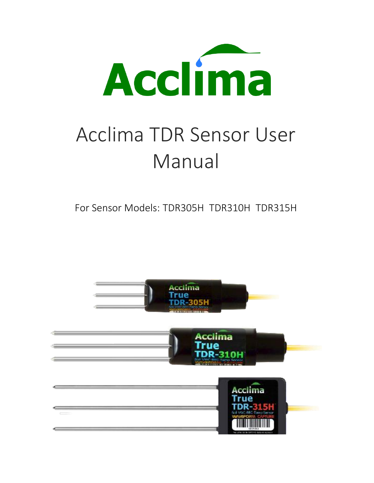

# Acclima TDR Sensor User Manual

For Sensor Models: TDR305H TDR310H TDR315H

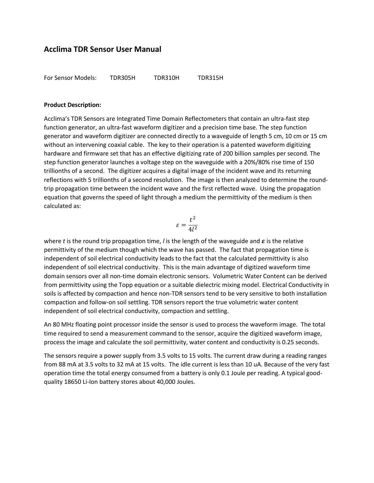For Sensor Models: TDR305H TDR310H TDR315H

#### **Product Description:**

Acclima's TDR Sensors are Integrated Time Domain Reflectometers that contain an ultra-fast step function generator, an ultra-fast waveform digitizer and a precision time base. The step function generator and waveform digitizer are connected directly to a waveguide of length 5 cm, 10 cm or 15 cm without an intervening coaxial cable. The key to their operation is a patented waveform digitizing hardware and firmware set that has an effective digitizing rate of 200 billion samples per second. The step function generator launches a voltage step on the waveguide with a 20%/80% rise time of 150 trillionths of a second. The digitizer acquires a digital image of the incident wave and its returning reflections with 5 trillionths of a second resolution. The image is then analyzed to determine the roundtrip propagation time between the incident wave and the first reflected wave. Using the propagation equation that governs the speed of light through a medium the permittivity of the medium is then calculated as:

$$
\varepsilon=\frac{t^2}{4l^2}
$$

where *t* is the round trip propagation time, *l* is the length of the waveguide and  $\varepsilon$  is the relative permittivity of the medium though which the wave has passed. The fact that propagation time is independent of soil electrical conductivity leads to the fact that the calculated permittivity is also independent of soil electrical conductivity. This is the main advantage of digitized waveform time domain sensors over all non-time domain electronic sensors. Volumetric Water Content can be derived from permittivity using the Topp equation or a suitable dielectric mixing model. Electrical Conductivity in soils is affected by compaction and hence non-TDR sensors tend to be very sensitive to both installation compaction and follow-on soil settling. TDR sensors report the true volumetric water content independent of soil electrical conductivity, compaction and settling.

An 80 MHz floating point processor inside the sensor is used to process the waveform image. The total time required to send a measurement command to the sensor, acquire the digitized waveform image, process the image and calculate the soil permittivity, water content and conductivity is 0.25 seconds.

The sensors require a power supply from 3.5 volts to 15 volts. The current draw during a reading ranges from 88 mA at 3.5 volts to 32 mA at 15 volts. The idle current is less than 10 uA. Because of the very fast operation time the total energy consumed from a battery is only 0.1 Joule per reading. A typical goodquality 18650 Li-Ion battery stores about 40,000 Joules.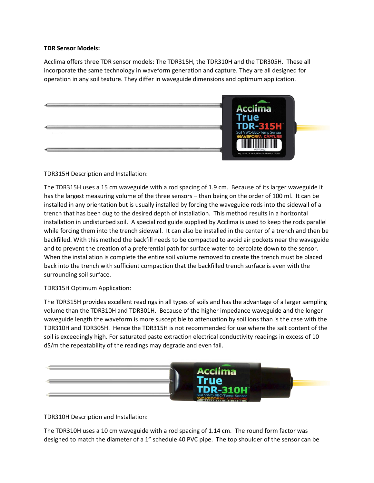#### **TDR Sensor Models:**

Acclima offers three TDR sensor models: The TDR315H, the TDR310H and the TDR305H. These all incorporate the same technology in waveform generation and capture. They are all designed for operation in any soil texture. They differ in waveguide dimensions and optimum application.



## TDR315H Description and Installation:

The TDR315H uses a 15 cm waveguide with a rod spacing of 1.9 cm. Because of its larger waveguide it has the largest measuring volume of the three sensors – than being on the order of 100 ml. It can be installed in any orientation but is usually installed by forcing the waveguide rods into the sidewall of a trench that has been dug to the desired depth of installation. This method results in a horizontal installation in undisturbed soil. A special rod guide supplied by Acclima is used to keep the rods parallel while forcing them into the trench sidewall. It can also be installed in the center of a trench and then be backfilled. With this method the backfill needs to be compacted to avoid air pockets near the waveguide and to prevent the creation of a preferential path for surface water to percolate down to the sensor. When the installation is complete the entire soil volume removed to create the trench must be placed back into the trench with sufficient compaction that the backfilled trench surface is even with the surrounding soil surface.

## TDR315H Optimum Application:

The TDR315H provides excellent readings in all types of soils and has the advantage of a larger sampling volume than the TDR310H and TDR301H. Because of the higher impedance waveguide and the longer waveguide length the waveform is more susceptible to attenuation by soil ions than is the case with the TDR310H and TDR305H. Hence the TDR315H is not recommended for use where the salt content of the soil is exceedingly high. For saturated paste extraction electrical conductivity readings in excess of 10 dS/m the repeatability of the readings may degrade and even fail.



TDR310H Description and Installation:

The TDR310H uses a 10 cm waveguide with a rod spacing of 1.14 cm. The round form factor was designed to match the diameter of a 1" schedule 40 PVC pipe. The top shoulder of the sensor can be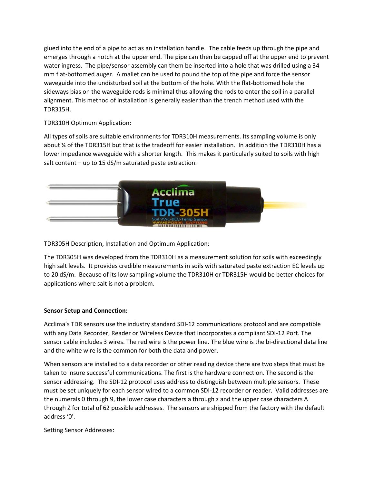glued into the end of a pipe to act as an installation handle. The cable feeds up through the pipe and emerges through a notch at the upper end. The pipe can then be capped off at the upper end to prevent water ingress. The pipe/sensor assembly can them be inserted into a hole that was drilled using a 34 mm flat-bottomed auger. A mallet can be used to pound the top of the pipe and force the sensor waveguide into the undisturbed soil at the bottom of the hole. With the flat-bottomed hole the sideways bias on the waveguide rods is minimal thus allowing the rods to enter the soil in a parallel alignment. This method of installation is generally easier than the trench method used with the TDR315H.

TDR310H Optimum Application:

All types of soils are suitable environments for TDR310H measurements. Its sampling volume is only about ¼ of the TDR315H but that is the tradeoff for easier installation. In addition the TDR310H has a lower impedance waveguide with a shorter length. This makes it particularly suited to soils with high salt content – up to 15 dS/m saturated paste extraction.



TDR305H Description, Installation and Optimum Application:

The TDR305H was developed from the TDR310H as a measurement solution for soils with exceedingly high salt levels. It provides credible measurements in soils with saturated paste extraction EC levels up to 20 dS/m. Because of its low sampling volume the TDR310H or TDR315H would be better choices for applications where salt is not a problem.

## **Sensor Setup and Connection:**

Acclima's TDR sensors use the industry standard SDI-12 communications protocol and are compatible with any Data Recorder, Reader or Wireless Device that incorporates a compliant SDI-12 Port. The sensor cable includes 3 wires. The red wire is the power line. The blue wire is the bi-directional data line and the white wire is the common for both the data and power.

When sensors are installed to a data recorder or other reading device there are two steps that must be taken to insure successful communications. The first is the hardware connection. The second is the sensor addressing. The SDI-12 protocol uses address to distinguish between multiple sensors. These must be set uniquely for each sensor wired to a common SDI-12 recorder or reader. Valid addresses are the numerals 0 through 9, the lower case characters a through z and the upper case characters A through Z for total of 62 possible addresses. The sensors are shipped from the factory with the default address '0'.

Setting Sensor Addresses: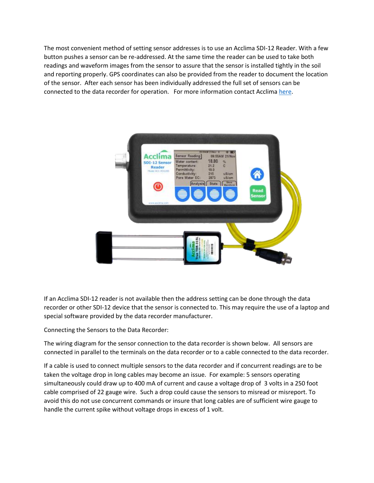The most convenient method of setting sensor addresses is to use an Acclima SDI-12 Reader. With a few button pushes a sensor can be re-addressed. At the same time the reader can be used to take both readings and waveform images from the sensor to assure that the sensor is installed tightly in the soil and reporting properly. GPS coordinates can also be provided from the reader to document the location of the sensor. After each sensor has been individually addressed the full set of sensors can be connected to the data recorder for operation. For more information contact Acclim[a here.](https://www.acclima.com/contact)



If an Acclima SDI-12 reader is not available then the address setting can be done through the data recorder or other SDI-12 device that the sensor is connected to. This may require the use of a laptop and special software provided by the data recorder manufacturer.

Connecting the Sensors to the Data Recorder:

The wiring diagram for the sensor connection to the data recorder is shown below. All sensors are connected in parallel to the terminals on the data recorder or to a cable connected to the data recorder.

If a cable is used to connect multiple sensors to the data recorder and if concurrent readings are to be taken the voltage drop in long cables may become an issue. For example: 5 sensors operating simultaneously could draw up to 400 mA of current and cause a voltage drop of 3 volts in a 250 foot cable comprised of 22 gauge wire. Such a drop could cause the sensors to misread or misreport. To avoid this do not use concurrent commands or insure that long cables are of sufficient wire gauge to handle the current spike without voltage drops in excess of 1 volt.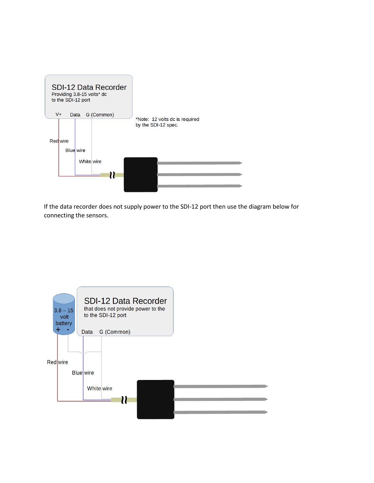

If the data recorder does not supply power to the SDI-12 port then use the diagram below for connecting the sensors.

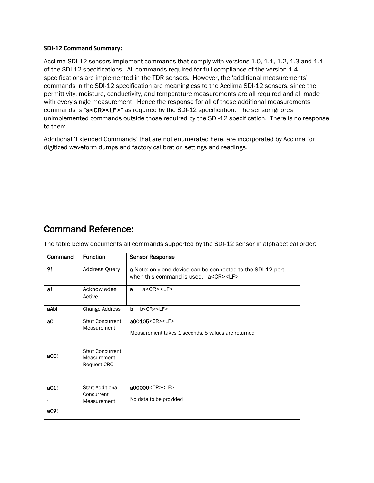#### **SDI-12 Command Summary:**

Acclima SDI-12 sensors implement commands that comply with versions 1.0, 1.1, 1.2, 1.3 and 1.4 of the SDI-12 specifications. All commands required for full compliance of the version 1.4 specifications are implemented in the TDR sensors. However, the 'additional measurements' commands in the SDI-12 specification are meaningless to the Acclima SDI-12 sensors, since the permittivity, moisture, conductivity, and temperature measurements are all required and all made with every single measurement. Hence the response for all of these additional measurements commands is "a<CR><LF>" as required by the SDI-12 specification. The sensor ignores unimplemented commands outside those required by the SDI-12 specification. There is no response to them.

Additional 'Extended Commands' that are not enumerated here, are incorporated by Acclima for digitized waveform dumps and factory calibration settings and readings.

# Command Reference:

Command Function Sensor Response ?! Address Query a Note: only one device can be connected to the SDI-12 port when this command is used. a<CR><LF> a! Acknowledge Active a a<CR><LF> aAb! Change Address b b<CR><LF> aC! aCC! Start Concurrent Measurement Start Concurrent Measurement-Request CRC a00105<CR><LF> Measurement takes 1 seconds. 5 values are returned aC1! . aC9! Start Additional **Concurrent** Measurement a00000<CR><LF> No data to be provided

The table below documents all commands supported by the SDI-12 sensor in alphabetical order: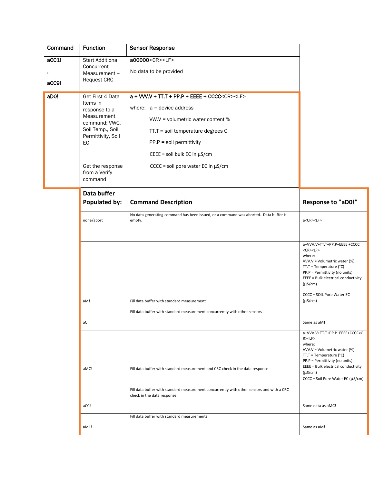| Command        | <b>Function</b>                                                                                                                                                               | <b>Sensor Response</b>                                                                                                                                                                                                                                                                                                                      |                                                                                                                                                                                                                                                                                      |
|----------------|-------------------------------------------------------------------------------------------------------------------------------------------------------------------------------|---------------------------------------------------------------------------------------------------------------------------------------------------------------------------------------------------------------------------------------------------------------------------------------------------------------------------------------------|--------------------------------------------------------------------------------------------------------------------------------------------------------------------------------------------------------------------------------------------------------------------------------------|
| aCC1!<br>aCC9! | <b>Start Additional</b><br>Concurrent<br>Measurement -<br><b>Request CRC</b>                                                                                                  | a00000 <cr><lf><br/>No data to be provided</lf></cr>                                                                                                                                                                                                                                                                                        |                                                                                                                                                                                                                                                                                      |
| aDOI           | Get First 4 Data<br>Items in<br>response to a<br>Measurement<br>command: VWC,<br>Soil Temp., Soil<br>Permittivity, Soil<br>EC<br>Get the response<br>from a Verify<br>command | a + VW.V + TT.T + PP.P + EEEE + CCCC <cr><lf><br/>where: <math>a =</math> device address<br/>VW.V = volumetric water content %<br/>TT.T = soil temperature degrees C<br/><math>PP.P = soil permittivity</math><br/>EEEE = soil bulk EC in <math>\mu</math>S/cm<br/><math>CCCC = soil pore water EC in <math>\mu</math>S/cm</math></lf></cr> |                                                                                                                                                                                                                                                                                      |
|                | Data buffer<br><b>Populated by:</b>                                                                                                                                           | <b>Command Description</b>                                                                                                                                                                                                                                                                                                                  | <b>Response to "aD0!"</b>                                                                                                                                                                                                                                                            |
|                | none/abort                                                                                                                                                                    | No data generating command has been issued, or a command was aborted. Data buffer is<br>empty.                                                                                                                                                                                                                                              | a <cr><lf></lf></cr>                                                                                                                                                                                                                                                                 |
|                |                                                                                                                                                                               |                                                                                                                                                                                                                                                                                                                                             | a+VVV.V+TT.T+PP.P+EEEE +CCCC<br><cr><lf><br/>where:<br/>VVV.V = Volumetric water (%)<br/><math>TT.T = Temperature (°C)</math><br/>PP.P = Permittivity (no units)<br/>EEEE = Bulk electrical conductivity<br/><math>(\mu S/cm)</math><br/>CCCC = SOIL Pore Water EC</lf></cr>         |
|                | aM!                                                                                                                                                                           | Fill data buffer with standard measurement                                                                                                                                                                                                                                                                                                  | $(\mu S/cm)$                                                                                                                                                                                                                                                                         |
|                | aC!                                                                                                                                                                           | Fill data buffer with standard measurement concurrently with other sensors                                                                                                                                                                                                                                                                  | Same as aM!                                                                                                                                                                                                                                                                          |
|                | aMC!                                                                                                                                                                          | Fill data buffer with standard measurement and CRC check in the data response                                                                                                                                                                                                                                                               | a+VVV.V+TT.T+PP.P+EEEE+CCCC <c<br>R &gt; LF<br/>where:<br/>VVV.V = Volumetric water (%)<br/><math>TT.T = Temperature (°C)</math><br/>PP.P = Permittivity (no units)<br/>EEEE = Bulk electrical conductivity<br/><math>(\mu S/cm)</math><br/>CCCC = Soil Pore Water EC (µS/cm)</c<br> |
|                | aCC!                                                                                                                                                                          | Fill data buffer with standard measurement concurrently with other sensors and with a CRC<br>check in the data response                                                                                                                                                                                                                     | Same data as aMC!                                                                                                                                                                                                                                                                    |
|                | aM1!                                                                                                                                                                          | Fill data buffer with standard measurements                                                                                                                                                                                                                                                                                                 | Same as aM!                                                                                                                                                                                                                                                                          |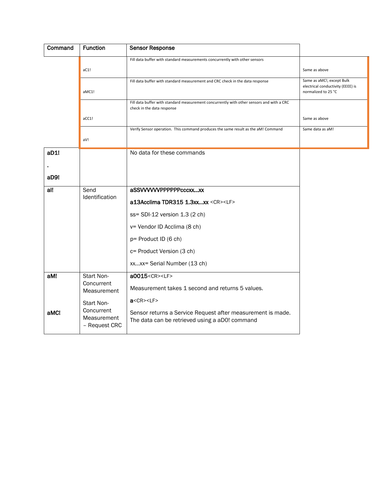| Command | <b>Function</b>                            | <b>Sensor Response</b>                                                                                                  |                                                                                       |
|---------|--------------------------------------------|-------------------------------------------------------------------------------------------------------------------------|---------------------------------------------------------------------------------------|
|         | aC1!                                       | Fill data buffer with standard measurements concurrently with other sensors                                             | Same as above                                                                         |
|         | aMC1!                                      | Fill data buffer with standard measurement and CRC check in the data response                                           | Same as aMC!, except Bulk<br>electrical conductivity (EEEE) is<br>normalized to 25 °C |
|         |                                            | Fill data buffer with standard measurement concurrently with other sensors and with a CRC<br>check in the data response |                                                                                       |
|         | aCC1!                                      |                                                                                                                         | Same as above                                                                         |
|         | aV!                                        | Verify Sensor operation. This command produces the same result as the aM! Command                                       | Same data as aM!                                                                      |
| aD1!    |                                            | No data for these commands                                                                                              |                                                                                       |
| aD9!    |                                            |                                                                                                                         |                                                                                       |
| al!     | Send<br>Identification                     | aSSWWWPPPPPPcccxxxx                                                                                                     |                                                                                       |
|         |                                            | a13Acclima TDR315 1.3xxxx <cr><lf></lf></cr>                                                                            |                                                                                       |
|         |                                            | ss= SDI-12 version 1.3 (2 ch)                                                                                           |                                                                                       |
|         |                                            | v= Vendor ID Acclima (8 ch)                                                                                             |                                                                                       |
|         |                                            | p= Product ID (6 ch)                                                                                                    |                                                                                       |
|         |                                            | c= Product Version (3 ch)                                                                                               |                                                                                       |
|         |                                            | xxxx= Serial Number (13 ch)                                                                                             |                                                                                       |
| aM!     | Start Non-<br>Concurrent                   | a0015 <cr><lf></lf></cr>                                                                                                |                                                                                       |
|         | Measurement                                | Measurement takes 1 second and returns 5 values.                                                                        |                                                                                       |
|         | Start Non-                                 | $a <$ CR $>$ <lf<math>&gt;</lf<math>                                                                                    |                                                                                       |
| aMC!    | Concurrent<br>Measurement<br>- Request CRC | Sensor returns a Service Request after measurement is made.<br>The data can be retrieved using a aD0! command           |                                                                                       |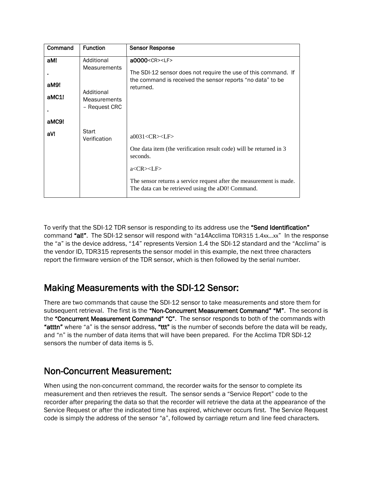| Command | <b>Function</b>                                    | <b>Sensor Response</b>                                                                                                   |
|---------|----------------------------------------------------|--------------------------------------------------------------------------------------------------------------------------|
| aM!     | Additional                                         | a0000 <cr><lf></lf></cr>                                                                                                 |
|         | <b>Measurements</b>                                | The SDI-12 sensor does not require the use of this command. If                                                           |
| aM9!    |                                                    | the command is received the sensor reports "no data" to be<br>returned.                                                  |
| aMC1!   | Additional<br><b>Measurements</b><br>- Request CRC |                                                                                                                          |
| aMC9!   |                                                    |                                                                                                                          |
| aV!     | Start<br>Verification                              | a0031 < CR > LF                                                                                                          |
|         |                                                    | One data item (the verification result code) will be returned in 3<br>seconds.                                           |
|         |                                                    | a < CR > LF                                                                                                              |
|         |                                                    | The sensor returns a service request after the measurement is made.<br>The data can be retrieved using the aD0! Command. |

To verify that the SDI-12 TDR sensor is responding to its address use the "Send Identification" command "al!". The SDI-12 sensor will respond with "a14Acclima TDR315 1.4xx...xx" In the response the "a" is the device address, "14" represents Version 1.4 the SDI-12 standard and the "Acclima" is the vendor ID, TDR315 represents the sensor model in this example, the next three characters report the firmware version of the TDR sensor, which is then followed by the serial number.

# Making Measurements with the SDI-12 Sensor:

There are two commands that cause the SDI-12 sensor to take measurements and store them for subsequent retrieval. The first is the "Non-Concurrent Measurement Command" "M". The second is the "Concurrent Measurement Command" "C". The sensor responds to both of the commands with "atttn" where "a" is the sensor address, "ttt" is the number of seconds before the data will be ready, and "n" is the number of data items that will have been prepared. For the Acclima TDR SDI-12 sensors the number of data items is 5.

# Non-Concurrent Measurement:

When using the non-concurrent command, the recorder waits for the sensor to complete its measurement and then retrieves the result. The sensor sends a "Service Report" code to the recorder after preparing the data so that the recorder will retrieve the data at the appearance of the Service Request or after the indicated time has expired, whichever occurs first. The Service Request code is simply the address of the sensor "a", followed by carriage return and line feed characters.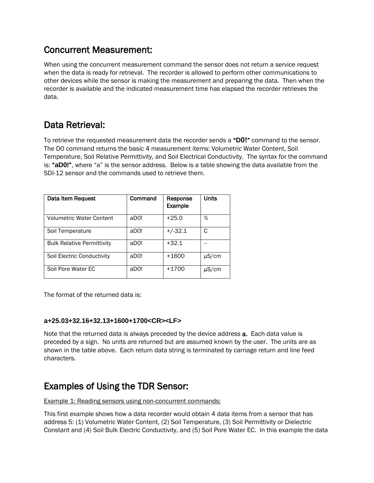# Concurrent Measurement:

When using the concurrent measurement command the sensor does not return a service request when the data is ready for retrieval. The recorder is allowed to perform other communications to other devices while the sensor is making the measurement and preparing the data. Then when the recorder is available and the indicated measurement time has elapsed the recorder retrieves the data.

# Data Retrieval:

To retrieve the requested measurement data the recorder sends a "**D0!**" command to the sensor. The D0 command returns the basic 4 measurement items: Volumetric Water Content, Soil Temperature, Soil Relative Permittivity, and Soil Electrical Conductivity. The syntax for the command is: "**aD0**!", where "a" is the sensor address. Below is a table showing the data available from the SDI-12 sensor and the commands used to retrieve them.

| Data Item Request                 | Command | Response<br>Example | <b>Units</b> |
|-----------------------------------|---------|---------------------|--------------|
| <b>Volumetric Water Content</b>   | aD0!    | $+25.0$             | %            |
| Soil Temperature                  | aD0!    | $+/-32.1$           | C            |
| <b>Bulk Relative Permittivity</b> | aD0!    | $+32.1$             |              |
| Soil Electric Conductivity        | aD0!    | $+1600$             | μS/cm        |
| Soil Pore Water EC                | aD0!    | $+1700$             | μS/cm        |

The format of the returned data is:

## **a+25.03+32.16+32.13+1600+1700<CR><LF>**

Note that the returned data is always preceded by the device address a. Each data value is preceded by a sign. No units are returned but are assumed known by the user. The units are as shown in the table above. Each return data string is terminated by carriage return and line feed characters.

# Examples of Using the TDR Sensor:

Example 1: Reading sensors using non-concurrent commands:

This first example shows how a data recorder would obtain 4 data items from a sensor that has address 5: (1) Volumetric Water Content, (2) Soil Temperature, (3) Soil Permittivity or Dielectric Constant and (4) Soil Bulk Electric Conductivity, and (5) Soil Pore Water EC. In this example the data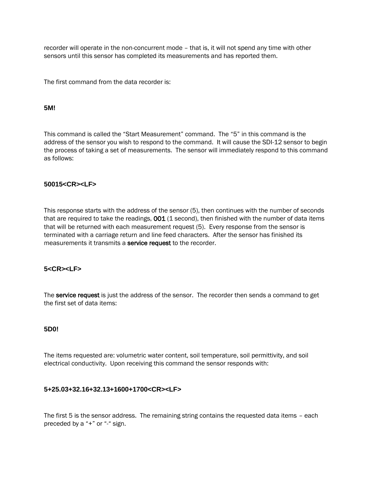recorder will operate in the non-concurrent mode – that is, it will not spend any time with other sensors until this sensor has completed its measurements and has reported them.

The first command from the data recorder is:

#### **5M!**

This command is called the "Start Measurement" command. The "5" in this command is the address of the sensor you wish to respond to the command. It will cause the SDI-12 sensor to begin the process of taking a set of measurements. The sensor will immediately respond to this command as follows:

#### **50015<CR><LF>**

This response starts with the address of the sensor (5), then continues with the number of seconds that are required to take the readings,  $001$  (1 second), then finished with the number of data items that will be returned with each measurement request (5). Every response from the sensor is terminated with a carriage return and line feed characters. After the sensor has finished its measurements it transmits a **service request** to the recorder.

## **5<CR><LF>**

The service request is just the address of the sensor. The recorder then sends a command to get the first set of data items:

#### **5D0!**

The items requested are: volumetric water content, soil temperature, soil permittivity, and soil electrical conductivity. Upon receiving this command the sensor responds with:

## **5+25.03+32.16+32.13+1600+1700<CR><LF>**

The first 5 is the sensor address. The remaining string contains the requested data items – each preceded by a "+" or "-" sign.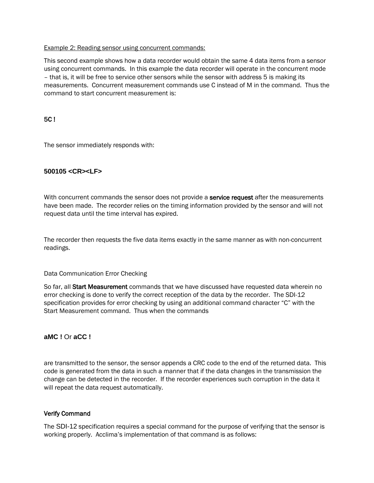#### Example 2: Reading sensor using concurrent commands:

This second example shows how a data recorder would obtain the same 4 data items from a sensor using concurrent commands. In this example the data recorder will operate in the concurrent mode – that is, it will be free to service other sensors while the sensor with address 5 is making its measurements. Concurrent measurement commands use C instead of M in the command. Thus the command to start concurrent measurement is:

# 5C !

The sensor immediately responds with:

# **500105 <CR><LF>**

With concurrent commands the sensor does not provide a service request after the measurements have been made. The recorder relies on the timing information provided by the sensor and will not request data until the time interval has expired.

The recorder then requests the five data items exactly in the same manner as with non-concurrent readings.

## Data Communication Error Checking

So far, all Start Measurement commands that we have discussed have requested data wherein no error checking is done to verify the correct reception of the data by the recorder. The SDI-12 specification provides for error checking by using an additional command character "C" with the Start Measurement command. Thus when the commands

## **aMC !** Or **aCC !**

are transmitted to the sensor, the sensor appends a CRC code to the end of the returned data. This code is generated from the data in such a manner that if the data changes in the transmission the change can be detected in the recorder. If the recorder experiences such corruption in the data it will repeat the data request automatically.

## Verify Command

The SDI-12 specification requires a special command for the purpose of verifying that the sensor is working properly. Acclima's implementation of that command is as follows: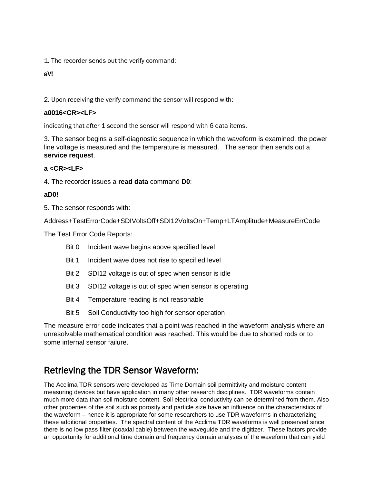1. The recorder sends out the verify command:

# aV!

2. Upon receiving the verify command the sensor will respond with:

## **a0016<CR><LF>**

indicating that after 1 second the sensor will respond with 6 data items.

3. The sensor begins a self-diagnostic sequence in which the waveform is examined, the power line voltage is measured and the temperature is measured. The sensor then sends out a **service request**.

## **a <CR><LF>**

4. The recorder issues a **read data** command **D0**:

#### **aD0!**

5. The sensor responds with:

Address+TestErrorCode+SDIVoltsOff+SDI12VoltsOn+Temp+LTAmplitude+MeasureErrCode

The Test Error Code Reports:

- Bit 0 Incident wave begins above specified level
- Bit 1 Incident wave does not rise to specified level
- Bit 2 SDI12 voltage is out of spec when sensor is idle
- Bit 3 SDI12 voltage is out of spec when sensor is operating
- Bit 4 Temperature reading is not reasonable
- Bit 5 Soil Conductivity too high for sensor operation

The measure error code indicates that a point was reached in the waveform analysis where an unresolvable mathematical condition was reached. This would be due to shorted rods or to some internal sensor failure.

# Retrieving the TDR Sensor Waveform:

The Acclima TDR sensors were developed as Time Domain soil permittivity and moisture content measuring devices but have application in many other research disciplines. TDR waveforms contain much more data than soil moisture content. Soil electrical conductivity can be determined from them. Also other properties of the soil such as porosity and particle size have an influence on the characteristics of the waveform – hence it is appropriate for some researchers to use TDR waveforms in characterizing these additional properties. The spectral content of the Acclima TDR waveforms is well preserved since there is no low pass filter (coaxial cable) between the waveguide and the digitizer. These factors provide an opportunity for additional time domain and frequency domain analyses of the waveform that can yield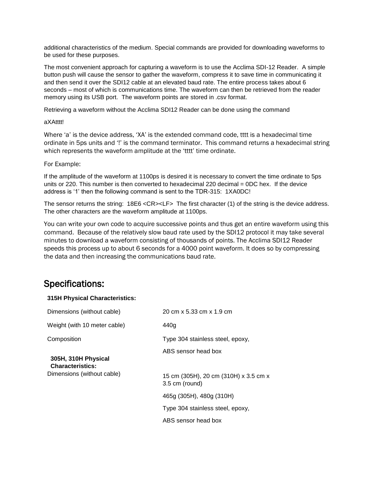additional characteristics of the medium. Special commands are provided for downloading waveforms to be used for these purposes.

The most convenient approach for capturing a waveform is to use the Acclima SDI-12 Reader. A simple button push will cause the sensor to gather the waveform, compress it to save time in communicating it and then send it over the SDI12 cable at an elevated baud rate. The entire process takes about 6 seconds – most of which is communications time. The waveform can then be retrieved from the reader memory using its USB port. The waveform points are stored in .csv format.

Retrieving a waveform without the Acclima SDI12 Reader can be done using the command

#### aXAtttt!

Where 'a' is the device address, 'XA' is the extended command code, tttt is a hexadecimal time ordinate in 5ps units and '!' is the command terminator. This command returns a hexadecimal string which represents the waveform amplitude at the 'tttt' time ordinate.

#### For Example:

If the amplitude of the waveform at 1100ps is desired it is necessary to convert the time ordinate to 5ps units or 220. This number is then converted to hexadecimal 220 decimal = 0DC hex. If the device address is '1' then the following command is sent to the TDR-315: 1XA0DC!

The sensor returns the string: 18E6 <CR><LF> The first character (1) of the string is the device address. The other characters are the waveform amplitude at 1100ps.

You can write your own code to acquire successive points and thus get an entire waveform using this command. Because of the relatively slow baud rate used by the SDI12 protocol it may take several minutes to download a waveform consisting of thousands of points. The Acclima SDI12 Reader speeds this process up to about 6 seconds for a 4000 point waveform. It does so by compressing the data and then increasing the communications baud rate.

# Specifications:

#### **315H Physical Characteristics:**

| Dimensions (without cable)                     | 20 cm x 5.33 cm x 1.9 cm                                |
|------------------------------------------------|---------------------------------------------------------|
| Weight (with 10 meter cable)                   | 440g                                                    |
| Composition                                    | Type 304 stainless steel, epoxy,                        |
| 305H, 310H Physical<br><b>Characteristics:</b> | ABS sensor head box                                     |
| Dimensions (without cable)                     | 15 cm (305H), 20 cm (310H) x 3.5 cm x<br>3.5 cm (round) |
|                                                | 465g (305H), 480g (310H)                                |
|                                                | Type 304 stainless steel, epoxy,                        |
|                                                | ABS sensor head box                                     |